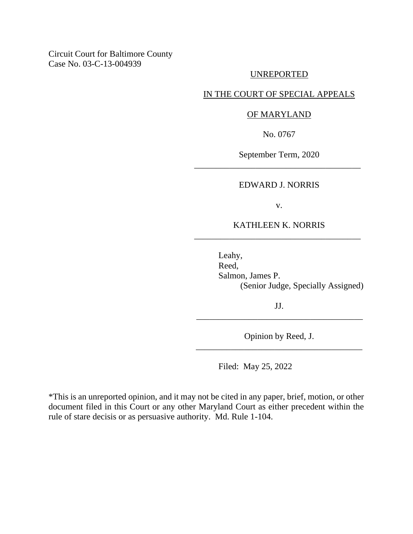Circuit Court for Baltimore County Case No. 03-C-13-004939

#### UNREPORTED

### IN THE COURT OF SPECIAL APPEALS

#### OF MARYLAND

No. 0767

September Term, 2020 \_\_\_\_\_\_\_\_\_\_\_\_\_\_\_\_\_\_\_\_\_\_\_\_\_\_\_\_\_\_\_\_\_\_\_\_\_\_

#### EDWARD J. NORRIS

v.

### KATHLEEN K. NORRIS \_\_\_\_\_\_\_\_\_\_\_\_\_\_\_\_\_\_\_\_\_\_\_\_\_\_\_\_\_\_\_\_\_\_\_\_\_\_

Leahy, Reed, Salmon, James P. (Senior Judge, Specially Assigned)

JJ. \_\_\_\_\_\_\_\_\_\_\_\_\_\_\_\_\_\_\_\_\_\_\_\_\_\_\_\_\_\_\_\_\_\_\_\_\_\_

Opinion by Reed, J. \_\_\_\_\_\_\_\_\_\_\_\_\_\_\_\_\_\_\_\_\_\_\_\_\_\_\_\_\_\_\_\_\_\_\_\_\_\_

Filed: May 25, 2022

\*This is an unreported opinion, and it may not be cited in any paper, brief, motion, or other document filed in this Court or any other Maryland Court as either precedent within the rule of stare decisis or as persuasive authority. Md. Rule 1-104.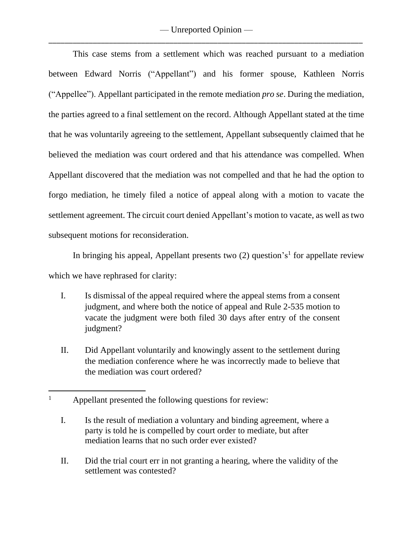This case stems from a settlement which was reached pursuant to a mediation between Edward Norris ("Appellant") and his former spouse, Kathleen Norris ("Appellee"). Appellant participated in the remote mediation *pro se*. During the mediation, the parties agreed to a final settlement on the record. Although Appellant stated at the time that he was voluntarily agreeing to the settlement, Appellant subsequently claimed that he believed the mediation was court ordered and that his attendance was compelled. When Appellant discovered that the mediation was not compelled and that he had the option to forgo mediation, he timely filed a notice of appeal along with a motion to vacate the settlement agreement. The circuit court denied Appellant's motion to vacate, as well as two subsequent motions for reconsideration.

In bringing his appeal, Appellant presents two  $(2)$  question's<sup>1</sup> for appellate review which we have rephrased for clarity:

- I. Is dismissal of the appeal required where the appeal stems from a consent judgment, and where both the notice of appeal and Rule 2-535 motion to vacate the judgment were both filed 30 days after entry of the consent judgment?
- II. Did Appellant voluntarily and knowingly assent to the settlement during the mediation conference where he was incorrectly made to believe that the mediation was court ordered?

II. Did the trial court err in not granting a hearing, where the validity of the settlement was contested?

<sup>&</sup>lt;sup>1</sup> Appellant presented the following questions for review:

I. Is the result of mediation a voluntary and binding agreement, where a party is told he is compelled by court order to mediate, but after mediation learns that no such order ever existed?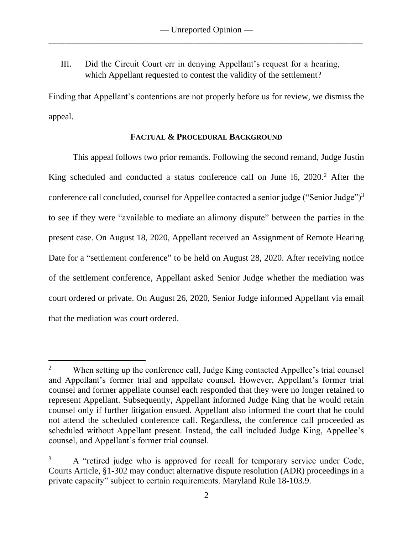III. Did the Circuit Court err in denying Appellant's request for a hearing, which Appellant requested to contest the validity of the settlement?

Finding that Appellant's contentions are not properly before us for review, we dismiss the appeal.

## **FACTUAL & PROCEDURAL BACKGROUND**

This appeal follows two prior remands. Following the second remand, Judge Justin King scheduled and conducted a status conference call on June 16, 2020.<sup>2</sup> After the conference call concluded, counsel for Appellee contacted a senior judge ("Senior Judge")<sup>3</sup> to see if they were "available to mediate an alimony dispute" between the parties in the present case. On August 18, 2020, Appellant received an Assignment of Remote Hearing Date for a "settlement conference" to be held on August 28, 2020. After receiving notice of the settlement conference, Appellant asked Senior Judge whether the mediation was court ordered or private. On August 26, 2020, Senior Judge informed Appellant via email that the mediation was court ordered.

<sup>&</sup>lt;sup>2</sup> When setting up the conference call, Judge King contacted Appellee's trial counsel and Appellant's former trial and appellate counsel. However, Appellant's former trial counsel and former appellate counsel each responded that they were no longer retained to represent Appellant. Subsequently, Appellant informed Judge King that he would retain counsel only if further litigation ensued. Appellant also informed the court that he could not attend the scheduled conference call. Regardless, the conference call proceeded as scheduled without Appellant present. Instead, the call included Judge King, Appellee's counsel, and Appellant's former trial counsel.

 $3$  A "retired judge who is approved for recall for temporary service under Code, Courts Article, §1-302 may conduct alternative dispute resolution (ADR) proceedings in a private capacity" subject to certain requirements. Maryland Rule 18-103.9.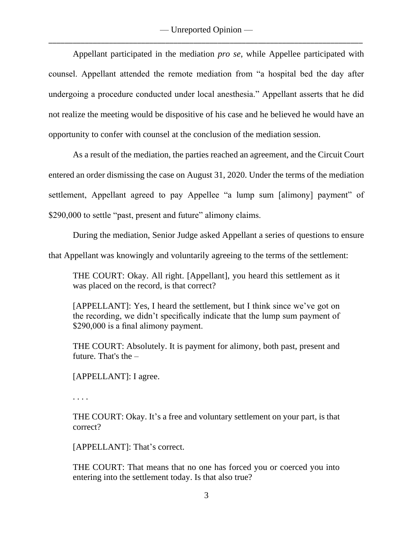Appellant participated in the mediation *pro se*, while Appellee participated with counsel. Appellant attended the remote mediation from "a hospital bed the day after undergoing a procedure conducted under local anesthesia." Appellant asserts that he did not realize the meeting would be dispositive of his case and he believed he would have an opportunity to confer with counsel at the conclusion of the mediation session.

As a result of the mediation, the parties reached an agreement, and the Circuit Court entered an order dismissing the case on August 31, 2020. Under the terms of the mediation settlement, Appellant agreed to pay Appellee "a lump sum [alimony] payment" of \$290,000 to settle "past, present and future" alimony claims.

During the mediation, Senior Judge asked Appellant a series of questions to ensure

that Appellant was knowingly and voluntarily agreeing to the terms of the settlement:

THE COURT: Okay. All right. [Appellant], you heard this settlement as it was placed on the record, is that correct?

[APPELLANT]: Yes, I heard the settlement, but I think since we've got on the recording, we didn't specifically indicate that the lump sum payment of \$290,000 is a final alimony payment.

THE COURT: Absolutely. It is payment for alimony, both past, present and future. That's the –

[APPELLANT]: I agree.

. . . .

THE COURT: Okay. It's a free and voluntary settlement on your part, is that correct?

[APPELLANT]: That's correct.

THE COURT: That means that no one has forced you or coerced you into entering into the settlement today. Is that also true?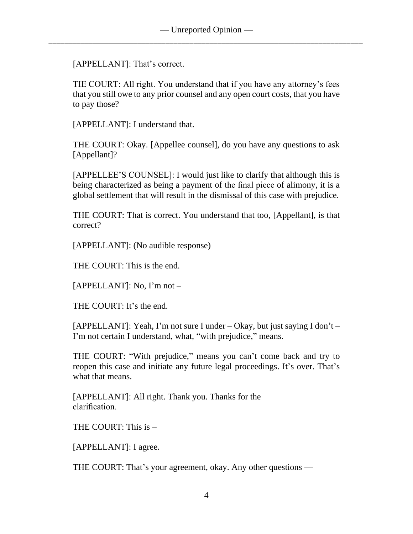[APPELLANT]: That's correct.

TIE COURT: All right. You understand that if you have any attorney's fees that you still owe to any prior counsel and any open court costs, that you have to pay those?

[APPELLANT]: I understand that.

THE COURT: Okay. [Appellee counsel], do you have any questions to ask [Appellant]?

[APPELLEE'S COUNSEL]: I would just like to clarify that although this is being characterized as being a payment of the final piece of alimony, it is a global settlement that will result in the dismissal of this case with prejudice.

THE COURT: That is correct. You understand that too, [Appellant], is that correct?

[APPELLANT]: (No audible response)

THE COURT: This is the end.

[APPELLANT]: No, I'm not –

THE COURT: It's the end.

[APPELLANT]: Yeah, I'm not sure I under – Okay, but just saying I don't – I'm not certain I understand, what, "with prejudice," means.

THE COURT: "With prejudice," means you can't come back and try to reopen this case and initiate any future legal proceedings. It's over. That's what that means.

[APPELLANT]: All right. Thank you. Thanks for the clarification.

THE COURT: This is –

[APPELLANT]: I agree.

THE COURT: That's your agreement, okay. Any other questions —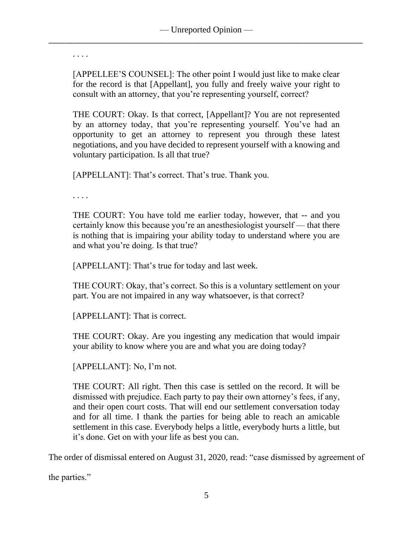. . . .

[APPELLEE'S COUNSEL]: The other point I would just like to make clear for the record is that [Appellant], you fully and freely waive your right to consult with an attorney, that you're representing yourself, correct?

THE COURT: Okay. Is that correct, [Appellant]? You are not represented by an attorney today, that you're representing yourself. You've had an opportunity to get an attorney to represent you through these latest negotiations, and you have decided to represent yourself with a knowing and voluntary participation. Is all that true?

[APPELLANT]: That's correct. That's true. Thank you.

. . . .

THE COURT: You have told me earlier today, however, that -- and you certainly know this because you're an anesthesiologist yourself — that there is nothing that is impairing your ability today to understand where you are and what you're doing. Is that true?

[APPELLANT]: That's true for today and last week.

THE COURT: Okay, that's correct. So this is a voluntary settlement on your part. You are not impaired in any way whatsoever, is that correct?

[APPELLANT]: That is correct.

THE COURT: Okay. Are you ingesting any medication that would impair your ability to know where you are and what you are doing today?

[APPELLANT]: No, I'm not.

THE COURT: All right. Then this case is settled on the record. It will be dismissed with prejudice. Each party to pay their own attorney's fees, if any, and their open court costs. That will end our settlement conversation today and for all time. I thank the parties for being able to reach an amicable settlement in this case. Everybody helps a little, everybody hurts a little, but it's done. Get on with your life as best you can.

The order of dismissal entered on August 31, 2020, read: "case dismissed by agreement of

the parties."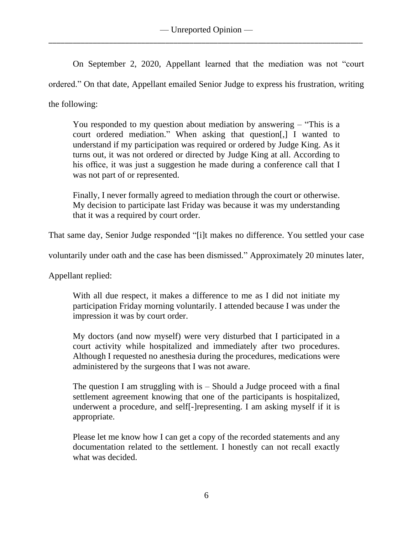On September 2, 2020, Appellant learned that the mediation was not "court ordered." On that date, Appellant emailed Senior Judge to express his frustration, writing the following:

You responded to my question about mediation by answering – "This is a court ordered mediation." When asking that question[,] I wanted to understand if my participation was required or ordered by Judge King. As it turns out, it was not ordered or directed by Judge King at all. According to his office, it was just a suggestion he made during a conference call that I was not part of or represented.

Finally, I never formally agreed to mediation through the court or otherwise. My decision to participate last Friday was because it was my understanding that it was a required by court order.

That same day, Senior Judge responded "[i]t makes no difference. You settled your case

voluntarily under oath and the case has been dismissed." Approximately 20 minutes later,

Appellant replied:

With all due respect, it makes a difference to me as I did not initiate my participation Friday morning voluntarily. I attended because I was under the impression it was by court order.

My doctors (and now myself) were very disturbed that I participated in a court activity while hospitalized and immediately after two procedures. Although I requested no anesthesia during the procedures, medications were administered by the surgeons that I was not aware.

The question I am struggling with is – Should a Judge proceed with a final settlement agreement knowing that one of the participants is hospitalized, underwent a procedure, and self[-]representing. I am asking myself if it is appropriate.

Please let me know how I can get a copy of the recorded statements and any documentation related to the settlement. I honestly can not recall exactly what was decided.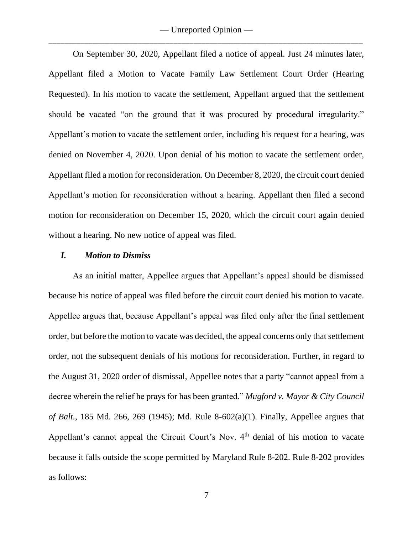— Unreported Opinion — \_\_\_\_\_\_\_\_\_\_\_\_\_\_\_\_\_\_\_\_\_\_\_\_\_\_\_\_\_\_\_\_\_\_\_\_\_\_\_\_\_\_\_\_\_\_\_\_\_\_\_\_\_\_\_\_\_\_\_\_\_\_\_\_\_\_\_\_\_\_\_\_\_\_\_\_\_\_

On September 30, 2020, Appellant filed a notice of appeal. Just 24 minutes later, Appellant filed a Motion to Vacate Family Law Settlement Court Order (Hearing Requested). In his motion to vacate the settlement, Appellant argued that the settlement should be vacated "on the ground that it was procured by procedural irregularity." Appellant's motion to vacate the settlement order, including his request for a hearing, was denied on November 4, 2020. Upon denial of his motion to vacate the settlement order, Appellant filed a motion for reconsideration. On December 8, 2020, the circuit court denied Appellant's motion for reconsideration without a hearing. Appellant then filed a second motion for reconsideration on December 15, 2020, which the circuit court again denied without a hearing. No new notice of appeal was filed.

#### *I. Motion to Dismiss*

As an initial matter, Appellee argues that Appellant's appeal should be dismissed because his notice of appeal was filed before the circuit court denied his motion to vacate. Appellee argues that, because Appellant's appeal was filed only after the final settlement order, but before the motion to vacate was decided, the appeal concerns only that settlement order, not the subsequent denials of his motions for reconsideration. Further, in regard to the August 31, 2020 order of dismissal, Appellee notes that a party "cannot appeal from a decree wherein the relief he prays for has been granted." *Mugford v. Mayor & City Council of Balt.*, 185 Md. 266, 269 (1945); Md. Rule 8-602(a)(1). Finally, Appellee argues that Appellant's cannot appeal the Circuit Court's Nov. 4<sup>th</sup> denial of his motion to vacate because it falls outside the scope permitted by Maryland Rule 8-202. Rule 8-202 provides as follows: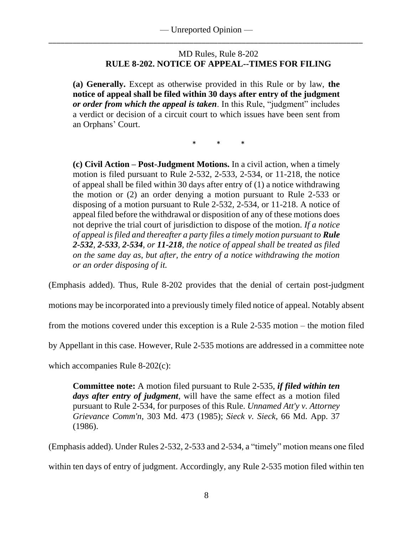## MD Rules, Rule 8-202 **RULE 8-202. NOTICE OF APPEAL--TIMES FOR FILING**

**(a) Generally.** Except as otherwise provided in this Rule or by law, **the notice of appeal shall be filed within 30 days after entry of the judgment**  *or order from which the appeal is taken*. In this Rule, "judgment" includes a verdict or decision of a circuit court to which issues have been sent from an Orphans' Court.

\* \* \*

**(c) Civil Action – Post-Judgment Motions.** In a civil action, when a timely motion is filed pursuant to Rule 2-532, 2-533, 2-534, or 11-218, the notice of appeal shall be filed within 30 days after entry of (1) a notice withdrawing the motion or (2) an order denying a motion pursuant to Rule 2-533 or disposing of a motion pursuant to Rule 2-532, 2-534, or 11-218. A notice of appeal filed before the withdrawal or disposition of any of these motions does not deprive the trial court of jurisdiction to dispose of the motion. *If a notice of appeal is filed and thereafter a party files a timely motion pursuant to Rule 2-532, 2-533, 2-534, or 11-218, the notice of appeal shall be treated as filed on the same day as, but after, the entry of a notice withdrawing the motion or an order disposing of it.*

(Emphasis added). Thus, Rule 8-202 provides that the denial of certain post-judgment

motions may be incorporated into a previously timely filed notice of appeal. Notably absent

from the motions covered under this exception is a Rule 2-535 motion – the motion filed

by Appellant in this case. However, Rule 2-535 motions are addressed in a committee note

which accompanies Rule 8-202(c):

**Committee note:** A motion filed pursuant to Rule 2-535, *if filed within ten days after entry of judgment*, will have the same effect as a motion filed pursuant to Rule 2-534, for purposes of this Rule. *Unnamed Att'y v. Attorney Grievance Comm'n*, 303 Md. 473 (1985); *Sieck v. Sieck*, 66 Md. App. 37 (1986).

(Emphasis added). Under Rules 2-532, 2-533 and 2-534, a "timely" motion means one filed within ten days of entry of judgment. Accordingly, any Rule 2-535 motion filed within ten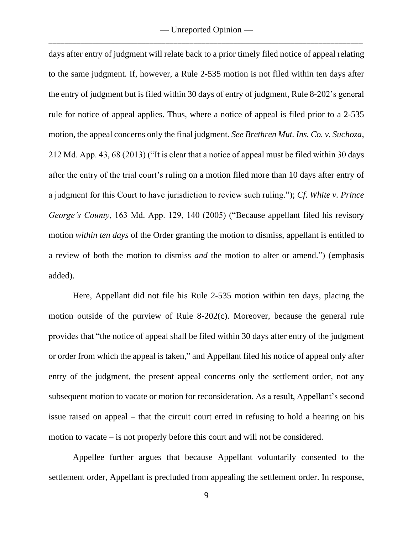— Unreported Opinion — \_\_\_\_\_\_\_\_\_\_\_\_\_\_\_\_\_\_\_\_\_\_\_\_\_\_\_\_\_\_\_\_\_\_\_\_\_\_\_\_\_\_\_\_\_\_\_\_\_\_\_\_\_\_\_\_\_\_\_\_\_\_\_\_\_\_\_\_\_\_\_\_\_\_\_\_\_\_

days after entry of judgment will relate back to a prior timely filed notice of appeal relating to the same judgment. If, however, a Rule 2-535 motion is not filed within ten days after the entry of judgment but is filed within 30 days of entry of judgment, Rule 8-202's general rule for notice of appeal applies. Thus, where a notice of appeal is filed prior to a 2-535 motion, the appeal concerns only the final judgment. *See Brethren Mut. Ins. Co. v. Suchoza*, 212 Md. App. 43, 68 (2013) ("It is clear that a notice of appeal must be filed within 30 days after the entry of the trial court's ruling on a motion filed more than 10 days after entry of a judgment for this Court to have jurisdiction to review such ruling."); *Cf*. *White v. Prince George's County*, 163 Md. App. 129, 140 (2005) ("Because appellant filed his revisory motion *within ten days* of the Order granting the motion to dismiss, appellant is entitled to a review of both the motion to dismiss *and* the motion to alter or amend.") (emphasis added).

Here, Appellant did not file his Rule 2-535 motion within ten days, placing the motion outside of the purview of Rule 8-202(c). Moreover, because the general rule provides that "the notice of appeal shall be filed within 30 days after entry of the judgment or order from which the appeal is taken," and Appellant filed his notice of appeal only after entry of the judgment, the present appeal concerns only the settlement order, not any subsequent motion to vacate or motion for reconsideration. As a result, Appellant's second issue raised on appeal – that the circuit court erred in refusing to hold a hearing on his motion to vacate – is not properly before this court and will not be considered.

Appellee further argues that because Appellant voluntarily consented to the settlement order, Appellant is precluded from appealing the settlement order. In response,

9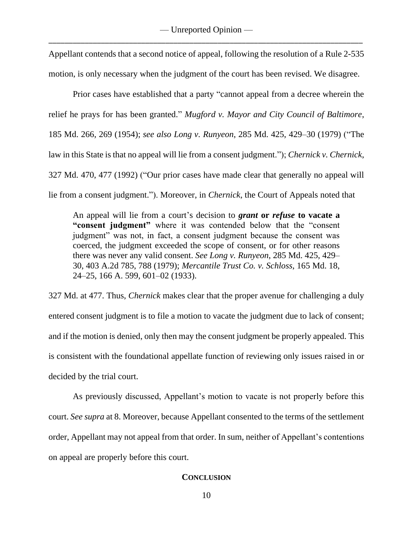Appellant contends that a second notice of appeal, following the resolution of a Rule 2-535 motion, is only necessary when the judgment of the court has been revised. We disagree.

Prior cases have established that a party "cannot appeal from a decree wherein the relief he prays for has been granted." *Mugford v. Mayor and City Council of Baltimore*, 185 Md. 266, 269 (1954); *see also Long v. Runyeon*, 285 Md. 425, 429–30 (1979) ("The law in this State is that no appeal will lie from a consent judgment."); *Chernick v. Chernick*, 327 Md. 470, 477 (1992) ("Our prior cases have made clear that generally no appeal will lie from a consent judgment."). Moreover, in *Chernick*, the Court of Appeals noted that

An appeal will lie from a court's decision to *grant* **or** *refuse* **to vacate a "consent judgment"** where it was contended below that the "consent judgment" was not, in fact, a consent judgment because the consent was coerced, the judgment exceeded the scope of consent, or for other reasons there was never any valid consent. *See Long v. Runyeon*, 285 Md. 425, 429– 30, 403 A.2d 785, 788 (1979); *Mercantile Trust Co. v. Schloss*, 165 Md. 18, 24–25, 166 A. 599, 601–02 (1933).

327 Md. at 477. Thus, *Chernick* makes clear that the proper avenue for challenging a duly entered consent judgment is to file a motion to vacate the judgment due to lack of consent; and if the motion is denied, only then may the consent judgment be properly appealed. This is consistent with the foundational appellate function of reviewing only issues raised in or decided by the trial court.

As previously discussed, Appellant's motion to vacate is not properly before this court. *See supra* at 8. Moreover, because Appellant consented to the terms of the settlement order, Appellant may not appeal from that order. In sum, neither of Appellant's contentions on appeal are properly before this court.

### **CONCLUSION**